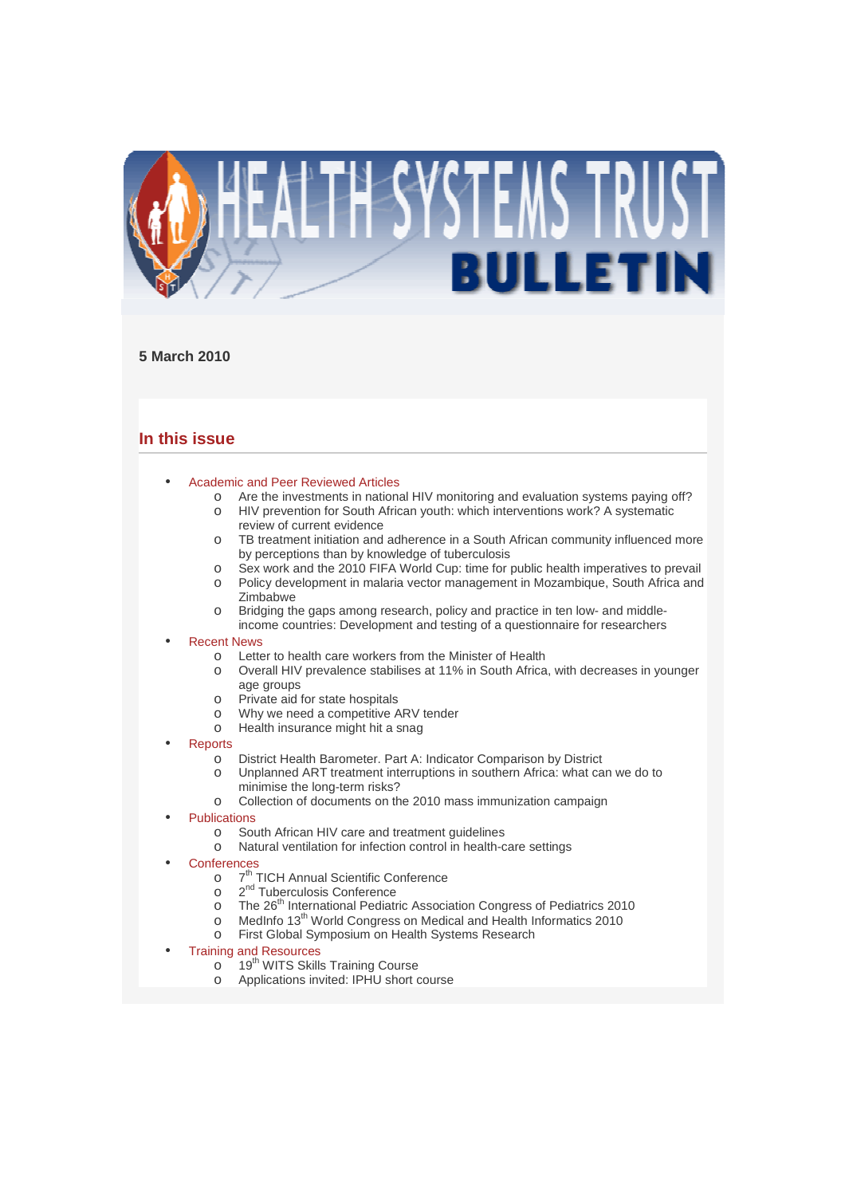

# **5 March 2010**

# **In this issue**

- Academic and Peer Reviewed Articles
	- o Are the investments in national HIV monitoring and evaluation systems paying off?
	- o HIV prevention for South African youth: which interventions work? A systematic review of current evidence
	- o TB treatment initiation and adherence in a South African community influenced more by perceptions than by knowledge of tuberculosis
	- o Sex work and the 2010 FIFA World Cup: time for public health imperatives to prevail
	- o Policy development in malaria vector management in Mozambique, South Africa and Zimbabwe
	- o Bridging the gaps among research, policy and practice in ten low- and middle-
	- income countries: Development and testing of a questionnaire for researchers

# **Recent News**

- o Letter to health care workers from the Minister of Health
- o Overall HIV prevalence stabilises at 11% in South Africa, with decreases in younger age groups
- o Private aid for state hospitals
- o Why we need a competitive ARV tender
- o Health insurance might hit a snag
- **Reports** 
	- o District Health Barometer. Part A: Indicator Comparison by District
	- o Unplanned ART treatment interruptions in southern Africa: what can we do to minimise the long-term risks?
	- o Collection of documents on the 2010 mass immunization campaign
- **Publications** 
	- o South African HIV care and treatment guidelines
	- o Natural ventilation for infection control in health-care settings
- **Conferences** 
	- $\circ$  7<sup>th</sup> **TICH Annual Scientific Conference**
	- $\circ$ 2<sup>nd</sup> Tuberculosis Conference
	- $\circ$  The 26<sup>th</sup> International Pediatric Association Congress of Pediatrics 2010
	- o MedInfo 13<sup>th</sup> World Congress on Medical and Health Informatics 2010
	- o First Global Symposium on Health Systems Research
- Training and Resources
	- o 19<sup>th</sup> WITS Skills Training Course
	- o Applications invited: IPHU short course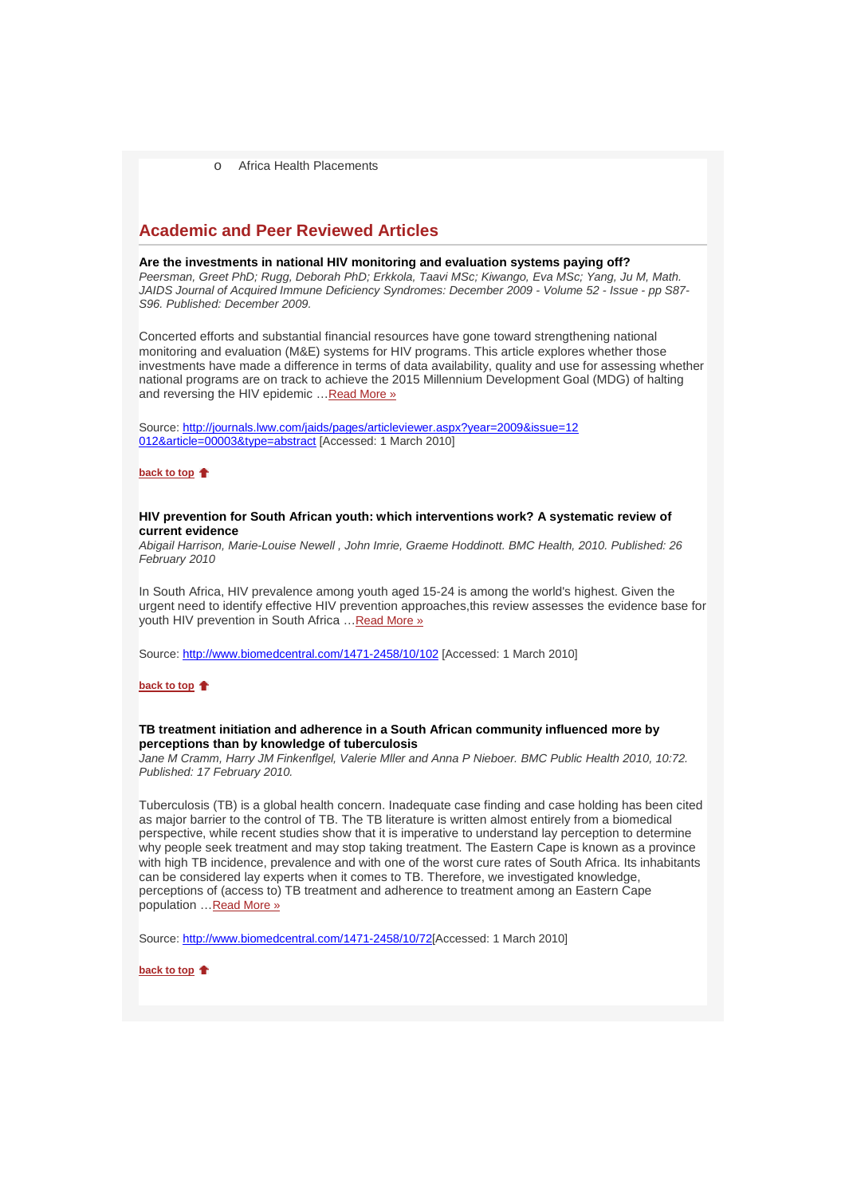o Africa Health Placements

# **Academic and Peer Reviewed Articles**

### **Are the investments in national HIV monitoring and evaluation systems paying off?**

Peersman, Greet PhD; Rugg, Deborah PhD; Erkkola, Taavi MSc; Kiwango, Eva MSc; Yang, Ju M, Math. JAIDS Journal of Acquired Immune Deficiency Syndromes: December 2009 - Volume 52 - Issue - pp S87- S96. Published: December 2009.

Concerted efforts and substantial financial resources have gone toward strengthening national monitoring and evaluation (M&E) systems for HIV programs. This article explores whether those investments have made a difference in terms of data availability, quality and use for assessing whether national programs are on track to achieve the 2015 Millennium Development Goal (MDG) of halting and reversing the HIV epidemic …Read More »

Source: http://journals.lww.com/jaids/pages/articleviewer.aspx?year=2009&issue=12 012&article=00003&type=abstract [Accessed: 1 March 2010]

**back to top**

### **HIV prevention for South African youth: which interventions work? A systematic review of current evidence**

Abigail Harrison, Marie-Louise Newell , John Imrie, Graeme Hoddinott. BMC Health, 2010. Published: 26 February 2010

In South Africa, HIV prevalence among youth aged 15-24 is among the world's highest. Given the urgent need to identify effective HIV prevention approaches,this review assesses the evidence base for youth HIV prevention in South Africa …Read More »

Source: http://www.biomedcentral.com/1471-2458/10/102 [Accessed: 1 March 2010]

**back to top**

## **TB treatment initiation and adherence in a South African community influenced more by perceptions than by knowledge of tuberculosis**

Jane M Cramm, Harry JM Finkenflgel, Valerie Mller and Anna P Nieboer. BMC Public Health 2010, 10:72. Published: 17 February 2010.

Tuberculosis (TB) is a global health concern. Inadequate case finding and case holding has been cited as major barrier to the control of TB. The TB literature is written almost entirely from a biomedical perspective, while recent studies show that it is imperative to understand lay perception to determine why people seek treatment and may stop taking treatment. The Eastern Cape is known as a province with high TB incidence, prevalence and with one of the worst cure rates of South Africa. Its inhabitants can be considered lay experts when it comes to TB. Therefore, we investigated knowledge, perceptions of (access to) TB treatment and adherence to treatment among an Eastern Cape population …Read More »

Source: http://www.biomedcentral.com/1471-2458/10/72[Accessed: 1 March 2010]

**back to top**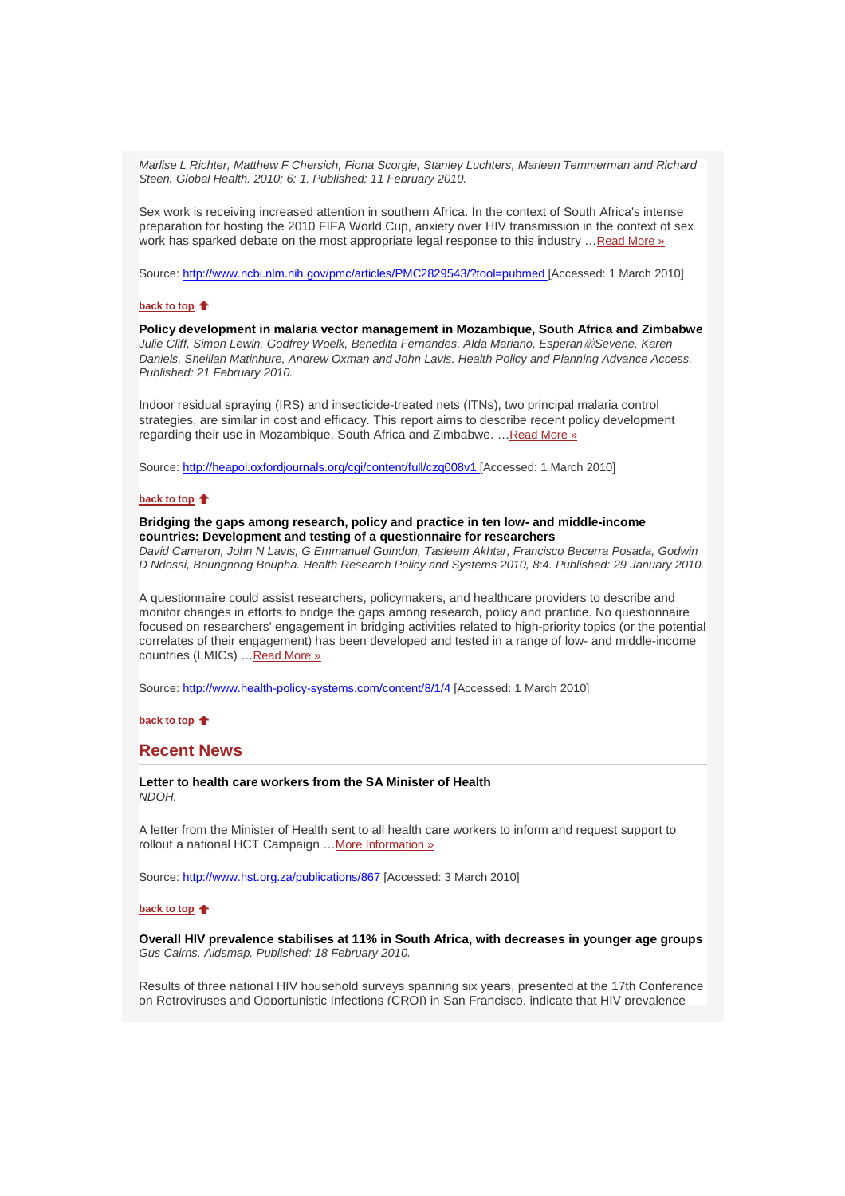Marlise L Richter, Matthew F Chersich, Fiona Scorgie, Stanley Luchters, Marleen Temmerman and Richard Steen. Global Health. 2010; 6: 1. Published: 11 February 2010.

Sex work is receiving increased attention in southern Africa. In the context of South Africa's intense preparation for hosting the 2010 FIFA World Cup, anxiety over HIV transmission in the context of sex work has sparked debate on the most appropriate legal response to this industry ... Read More »

Source: http://www.ncbi.nlm.nih.gov/pmc/articles/PMC2829543/?tool=pubmed [Accessed: 1 March 2010]

### **back to top**

**Policy development in malaria vector management in Mozambique, South Africa and Zimbabwe** Julie Cliff, Simon Lewin, Godfrey Woelk, Benedita Fernandes, Alda Mariano, Esperan it Sevene, Karen Daniels, Sheillah Matinhure, Andrew Oxman and John Lavis. Health Policy and Planning Advance Access. Published: 21 February 2010.

Indoor residual spraying (IRS) and insecticide-treated nets (ITNs), two principal malaria control strategies, are similar in cost and efficacy. This report aims to describe recent policy development regarding their use in Mozambique, South Africa and Zimbabwe. …Read More »

Source: http://heapol.oxfordjournals.org/cgi/content/full/czq008v1 [Accessed: 1 March 2010]

### **back to top**  $\triangle$

# **Bridging the gaps among research, policy and practice in ten low- and middle-income countries: Development and testing of a questionnaire for researchers**

David Cameron, John N Lavis, G Emmanuel Guindon, Tasleem Akhtar, Francisco Becerra Posada, Godwin D Ndossi, Boungnong Boupha. Health Research Policy and Systems 2010, 8:4. Published: 29 January 2010.

A questionnaire could assist researchers, policymakers, and healthcare providers to describe and monitor changes in efforts to bridge the gaps among research, policy and practice. No questionnaire focused on researchers' engagement in bridging activities related to high-priority topics (or the potential correlates of their engagement) has been developed and tested in a range of low- and middle-income countries (LMICs) …Read More »

Source: http://www.health-policy-systems.com/content/8/1/4 [Accessed: 1 March 2010]

#### **back to top**

# **Recent News**

**Letter to health care workers from the SA Minister of Health**  NDOH.

A letter from the Minister of Health sent to all health care workers to inform and request support to rollout a national HCT Campaign ... More Information »

Source: http://www.hst.org.za/publications/867 [Accessed: 3 March 2010]

#### **back to top**

**Overall HIV prevalence stabilises at 11% in South Africa, with decreases in younger age groups** Gus Cairns. Aidsmap. Published: 18 February 2010.

Results of three national HIV household surveys spanning six years, presented at the 17th Conference on Retroviruses and Opportunistic Infections (CROI) in San Francisco, indicate that HIV prevalence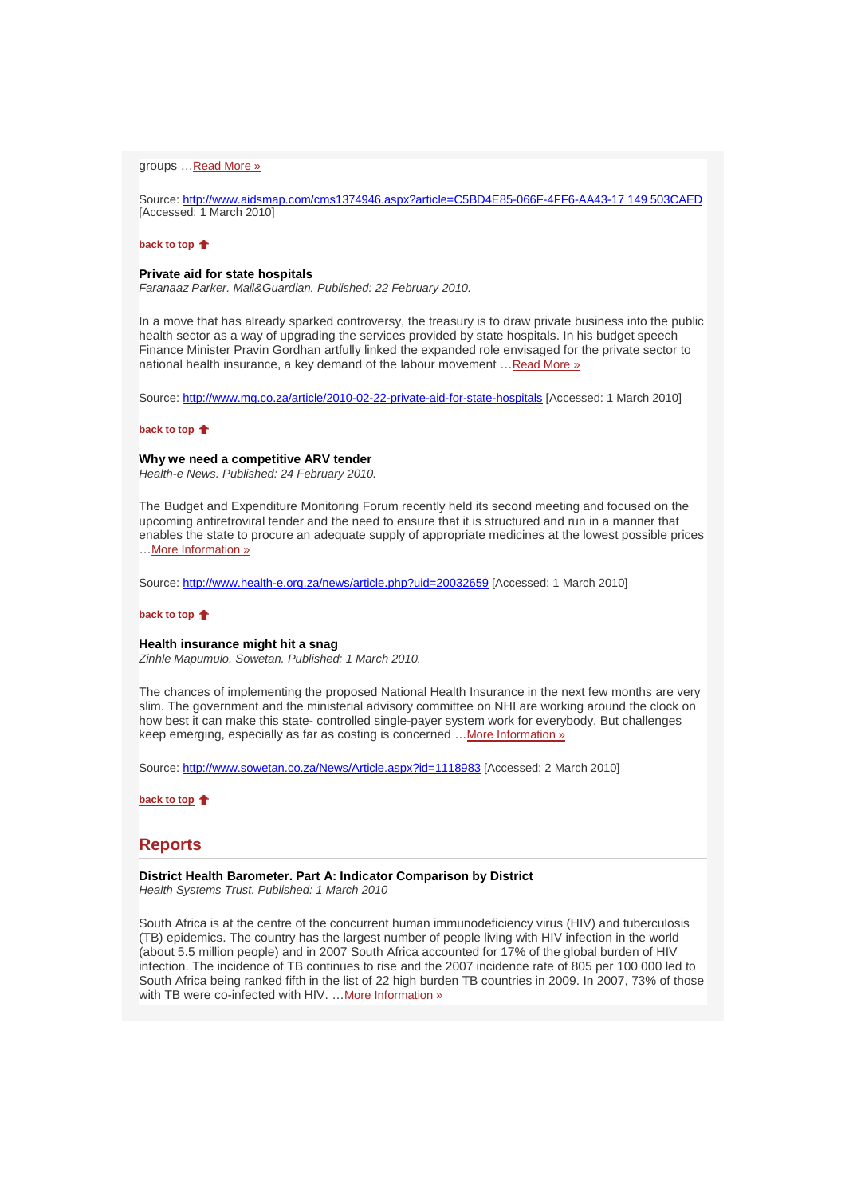### groups …Read More »

Source: http://www.aidsmap.com/cms1374946.aspx?article=C5BD4E85-066F-4FF6-AA43-17 149 503CAED [Accessed: 1 March 2010]

### **back to top**

### **Private aid for state hospitals**

Faranaaz Parker. Mail&Guardian. Published: 22 February 2010.

In a move that has already sparked controversy, the treasury is to draw private business into the public health sector as a way of upgrading the services provided by state hospitals. In his budget speech Finance Minister Pravin Gordhan artfully linked the expanded role envisaged for the private sector to national health insurance, a key demand of the labour movement …Read More »

Source: http://www.mg.co.za/article/2010-02-22-private-aid-for-state-hospitals [Accessed: 1 March 2010]

#### **back to top**

### **Why we need a competitive ARV tender**

Health-e News. Published: 24 February 2010.

The Budget and Expenditure Monitoring Forum recently held its second meeting and focused on the upcoming antiretroviral tender and the need to ensure that it is structured and run in a manner that enables the state to procure an adequate supply of appropriate medicines at the lowest possible prices …More Information »

Source: http://www.health-e.org.za/news/article.php?uid=20032659 [Accessed: 1 March 2010]

### **back to top**

### **Health insurance might hit a snag**

Zinhle Mapumulo. Sowetan. Published: 1 March 2010.

The chances of implementing the proposed National Health Insurance in the next few months are very slim. The government and the ministerial advisory committee on NHI are working around the clock on how best it can make this state- controlled single-payer system work for everybody. But challenges keep emerging, especially as far as costing is concerned ... More Information »

Source: http://www.sowetan.co.za/News/Article.aspx?id=1118983 [Accessed: 2 March 2010]

**back to top**

# **Reports**

**District Health Barometer. Part A: Indicator Comparison by District**  Health Systems Trust. Published: 1 March 2010

South Africa is at the centre of the concurrent human immunodeficiency virus (HIV) and tuberculosis (TB) epidemics. The country has the largest number of people living with HIV infection in the world (about 5.5 million people) and in 2007 South Africa accounted for 17% of the global burden of HIV infection. The incidence of TB continues to rise and the 2007 incidence rate of 805 per 100 000 led to South Africa being ranked fifth in the list of 22 high burden TB countries in 2009. In 2007, 73% of those with TB were co-infected with HIV. ... More Information »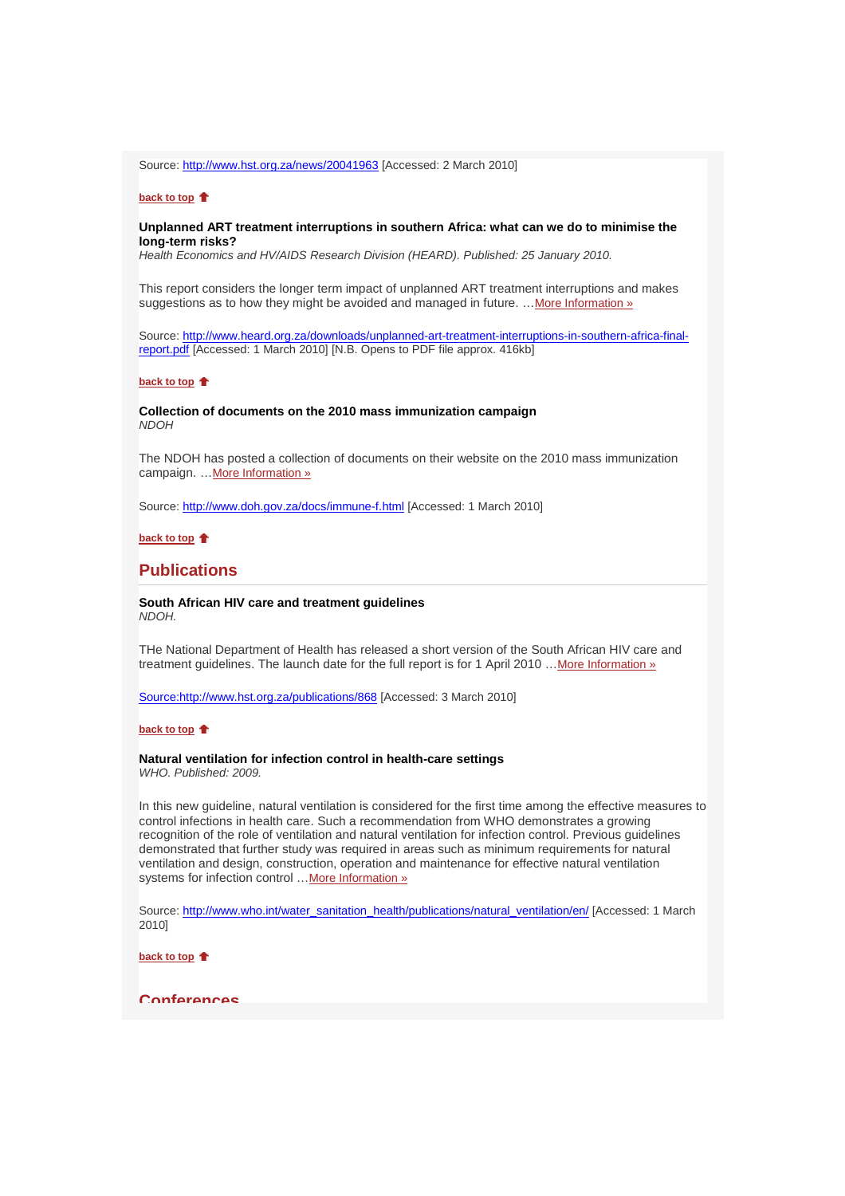Source: http://www.hst.org.za/news/20041963 [Accessed: 2 March 2010]

### **back to top**

### **Unplanned ART treatment interruptions in southern Africa: what can we do to minimise the long-term risks?**

Health Economics and HV/AIDS Research Division (HEARD). Published: 25 January 2010.

This report considers the longer term impact of unplanned ART treatment interruptions and makes suggestions as to how they might be avoided and managed in future. ... More Information »

Source: http://www.heard.org.za/downloads/unplanned-art-treatment-interruptions-in-southern-africa-finalreport.pdf [Accessed: 1 March 2010] [N.B. Opens to PDF file approx. 416kb]

#### **back to top**

### **Collection of documents on the 2010 mass immunization campaign NDOH**

The NDOH has posted a collection of documents on their website on the 2010 mass immunization campaign. ... More Information »

Source: http://www.doh.gov.za/docs/immune-f.html [Accessed: 1 March 2010]

# **back to top**

# **Publications**

#### **South African HIV care and treatment guidelines**  NDOH.

THe National Department of Health has released a short version of the South African HIV care and treatment guidelines. The launch date for the full report is for 1 April 2010 ... More Information »

Source:http://www.hst.org.za/publications/868 [Accessed: 3 March 2010]

### **back to top**

# **Natural ventilation for infection control in health-care settings**

WHO. Published: 2009.

In this new guideline, natural ventilation is considered for the first time among the effective measures to control infections in health care. Such a recommendation from WHO demonstrates a growing recognition of the role of ventilation and natural ventilation for infection control. Previous guidelines demonstrated that further study was required in areas such as minimum requirements for natural ventilation and design, construction, operation and maintenance for effective natural ventilation systems for infection control ... More Information »

Source: http://www.who.int/water\_sanitation\_health/publications/natural\_ventilation/en/ [Accessed: 1 March 2010]

**back to top**

#### **Conferences**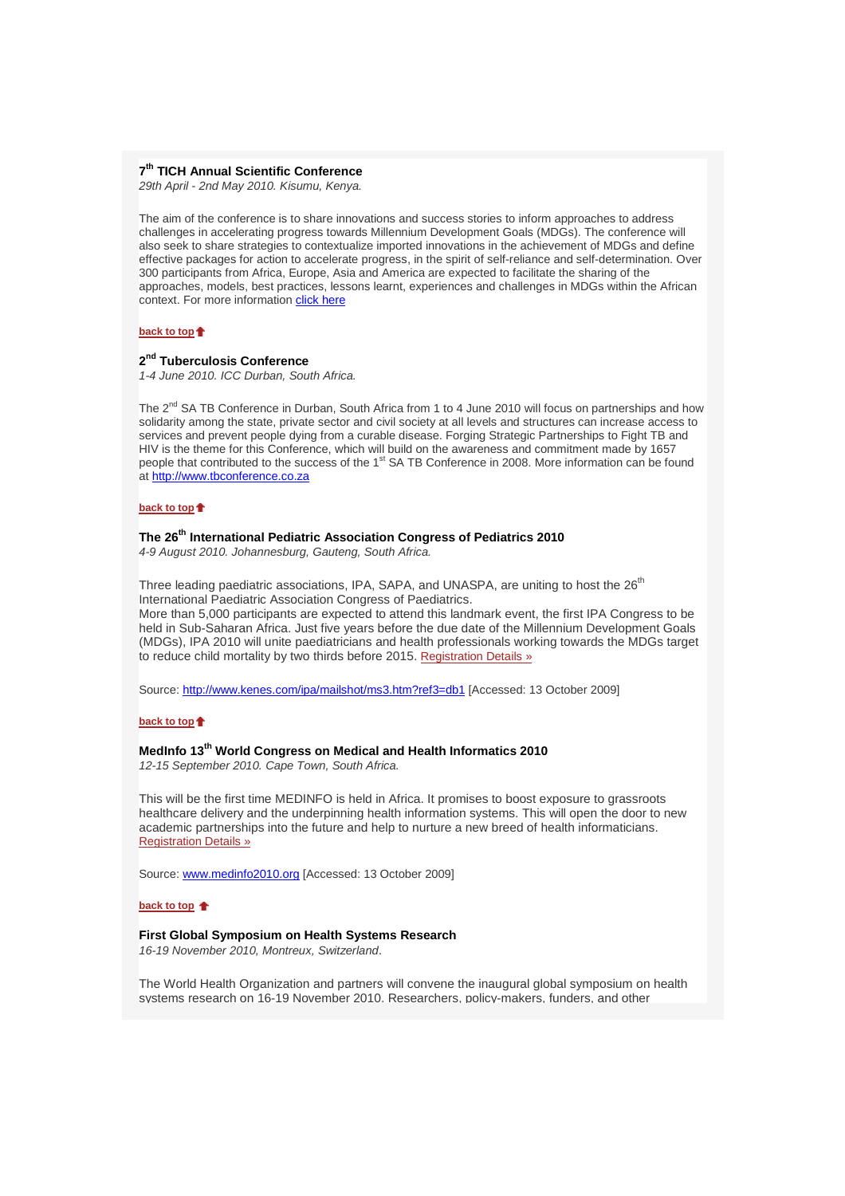# **7 th TICH Annual Scientific Conference**

29th April - 2nd May 2010. Kisumu, Kenya.

The aim of the conference is to share innovations and success stories to inform approaches to address challenges in accelerating progress towards Millennium Development Goals (MDGs). The conference will also seek to share strategies to contextualize imported innovations in the achievement of MDGs and define effective packages for action to accelerate progress, in the spirit of self-reliance and self-determination. Over 300 participants from Africa, Europe, Asia and America are expected to facilitate the sharing of the approaches, models, best practices, lessons learnt, experiences and challenges in MDGs within the African context. For more information click here

#### **back to top**

# **2 nd Tuberculosis Conference**

1-4 June 2010. ICC Durban, South Africa.

The 2<sup>nd</sup> SA TB Conference in Durban, South Africa from 1 to 4 June 2010 will focus on partnerships and how solidarity among the state, private sector and civil society at all levels and structures can increase access to services and prevent people dying from a curable disease. Forging Strategic Partnerships to Fight TB and HIV is the theme for this Conference, which will build on the awareness and commitment made by 1657 people that contributed to the success of the 1<sup>st</sup> SA TB Conference in 2008. More information can be found at http://www.tbconference.co.za

### **back to top**

# **The 26th International Pediatric Association Congress of Pediatrics 2010**

4-9 August 2010. Johannesburg, Gauteng, South Africa.

Three leading paediatric associations, IPA, SAPA, and UNASPA, are uniting to host the 26<sup>th</sup> International Paediatric Association Congress of Paediatrics.

More than 5,000 participants are expected to attend this landmark event, the first IPA Congress to be held in Sub-Saharan Africa. Just five years before the due date of the Millennium Development Goals (MDGs), IPA 2010 will unite paediatricians and health professionals working towards the MDGs target to reduce child mortality by two thirds before 2015. Registration Details »

Source: http://www.kenes.com/ipa/mailshot/ms3.htm?ref3=db1 [Accessed: 13 October 2009]

### **back to top**

# **MedInfo 13th World Congress on Medical and Health Informatics 2010**

12-15 September 2010. Cape Town, South Africa.

This will be the first time MEDINFO is held in Africa. It promises to boost exposure to grassroots healthcare delivery and the underpinning health information systems. This will open the door to new academic partnerships into the future and help to nurture a new breed of health informaticians. Registration Details »

Source: www.medinfo2010.org [Accessed: 13 October 2009]

#### **back to top**

#### **First Global Symposium on Health Systems Research**

16-19 November 2010, Montreux, Switzerland.

The World Health Organization and partners will convene the inaugural global symposium on health systems research on 16-19 November 2010. Researchers, policy-makers, funders, and other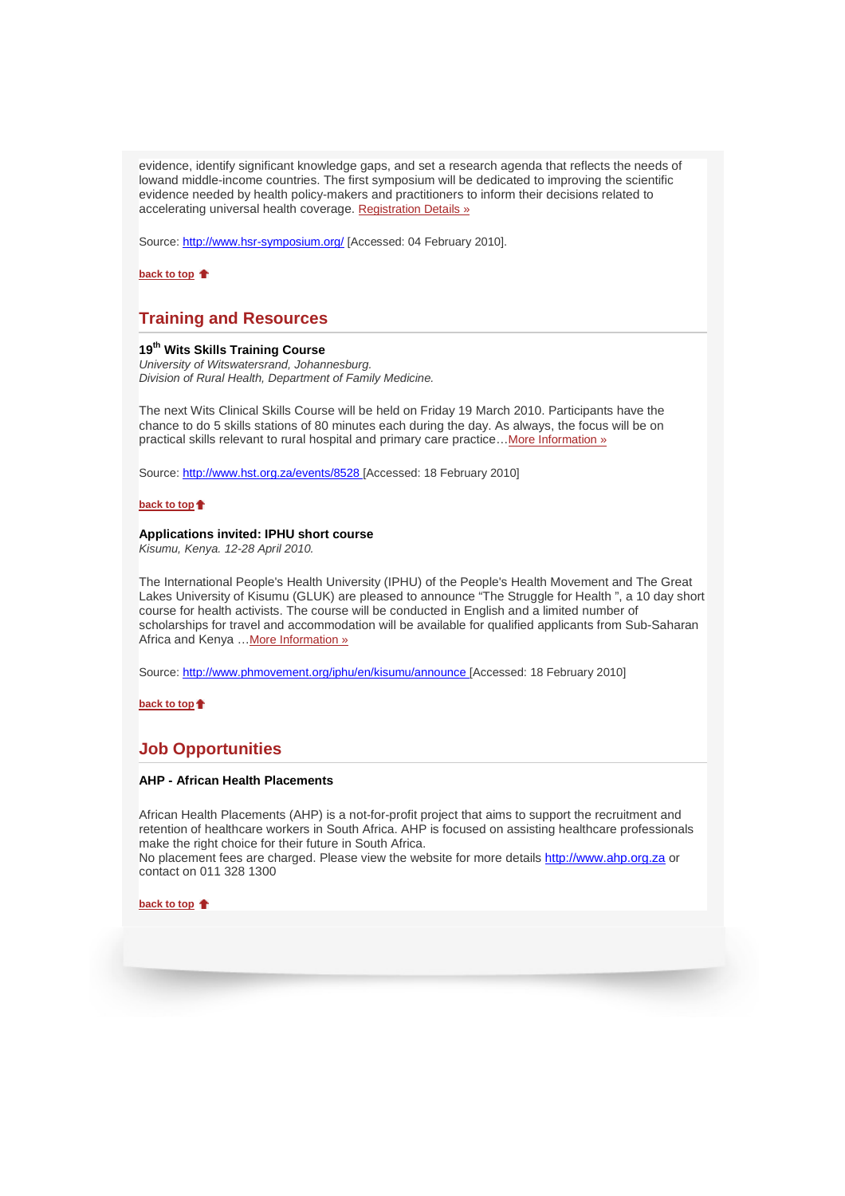evidence, identify significant knowledge gaps, and set a research agenda that reflects the needs of lowand middle-income countries. The first symposium will be dedicated to improving the scientific evidence needed by health policy-makers and practitioners to inform their decisions related to accelerating universal health coverage. Registration Details »

Source: http://www.hsr-symposium.org/ [Accessed: 04 February 2010].

**back to top**

# **Training and Resources**

# **19th Wits Skills Training Course**

University of Witswatersrand, Johannesburg. Division of Rural Health, Department of Family Medicine.

The next Wits Clinical Skills Course will be held on Friday 19 March 2010. Participants have the chance to do 5 skills stations of 80 minutes each during the day. As always, the focus will be on practical skills relevant to rural hospital and primary care practice... More Information »

Source: http://www.hst.org.za/events/8528 [Accessed: 18 February 2010]

**back to top**

### **Applications invited: IPHU short course**

Kisumu, Kenya. 12-28 April 2010.

The International People's Health University (IPHU) of the People's Health Movement and The Great Lakes University of Kisumu (GLUK) are pleased to announce "The Struggle for Health ", a 10 day short course for health activists. The course will be conducted in English and a limited number of scholarships for travel and accommodation will be available for qualified applicants from Sub-Saharan Africa and Kenya …More Information »

Source: http://www.phmovement.org/iphu/en/kisumu/announce [Accessed: 18 February 2010]

**back to top**

# **Job Opportunities**

#### **AHP - African Health Placements**

African Health Placements (AHP) is a not-for-profit project that aims to support the recruitment and retention of healthcare workers in South Africa. AHP is focused on assisting healthcare professionals make the right choice for their future in South Africa.

No placement fees are charged. Please view the website for more details http://www.ahp.org.za or contact on 011 328 1300

**back to top**